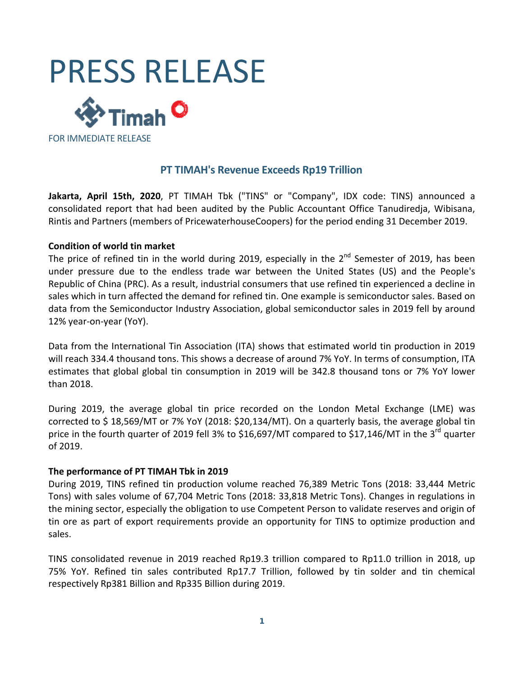

## **PT TIMAH's Revenue Exceeds Rp19 Trillion**

**Jakarta, April 15th, 2020**, PT TIMAH Tbk ("TINS" or "Company", IDX code: TINS) announced a consolidated report that had been audited by the Public Accountant Office Tanudiredja, Wibisana, Rintis and Partners (members of PricewaterhouseCoopers) for the period ending 31 December 2019.

#### **Condition of world tin market**

The price of refined tin in the world during 2019, especially in the  $2^{nd}$  Semester of 2019, has been under pressure due to the endless trade war between the United States (US) and the People's Republic of China (PRC). As a result, industrial consumers that use refined tin experienced a decline in sales which in turn affected the demand for refined tin. One example is semiconductor sales. Based on data from the Semiconductor Industry Association, global semiconductor sales in 2019 fell by around 12% year‐on‐year (YoY).

Data from the International Tin Association (ITA) shows that estimated world tin production in 2019 will reach 334.4 thousand tons. This shows a decrease of around 7% YoY. In terms of consumption, ITA estimates that global global tin consumption in 2019 will be 342.8 thousand tons or 7% YoY lower than 2018.

During 2019, the average global tin price recorded on the London Metal Exchange (LME) was corrected to \$ 18,569/MT or 7% YoY (2018: \$20,134/MT). On a quarterly basis, the average global tin price in the fourth quarter of 2019 fell 3% to \$16,697/MT compared to \$17,146/MT in the 3<sup>rd</sup> quarter of 2019.

#### **The performance of PT TIMAH Tbk in 2019**

During 2019, TINS refined tin production volume reached 76,389 Metric Tons (2018: 33,444 Metric Tons) with sales volume of 67,704 Metric Tons (2018: 33,818 Metric Tons). Changes in regulations in the mining sector, especially the obligation to use Competent Person to validate reserves and origin of tin ore as part of export requirements provide an opportunity for TINS to optimize production and sales.

TINS consolidated revenue in 2019 reached Rp19.3 trillion compared to Rp11.0 trillion in 2018, up 75% YoY. Refined tin sales contributed Rp17.7 Trillion, followed by tin solder and tin chemical respectively Rp381 Billion and Rp335 Billion during 2019.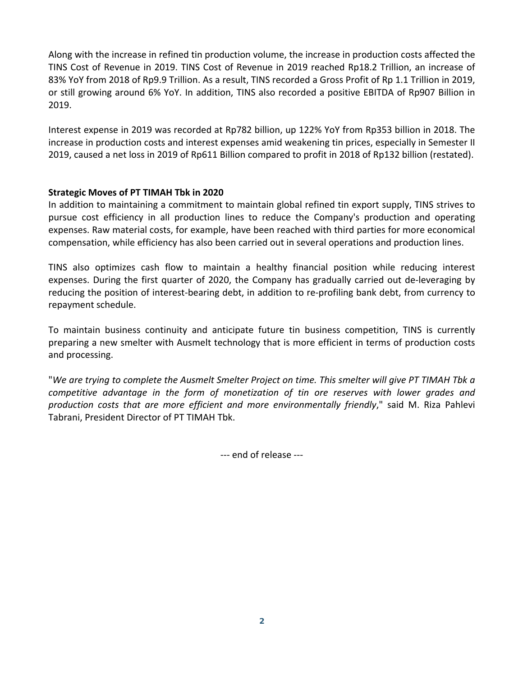Along with the increase in refined tin production volume, the increase in production costs affected the TINS Cost of Revenue in 2019. TINS Cost of Revenue in 2019 reached Rp18.2 Trillion, an increase of 83% YoY from 2018 of Rp9.9 Trillion. As a result, TINS recorded a Gross Profit of Rp 1.1 Trillion in 2019, or still growing around 6% YoY. In addition, TINS also recorded a positive EBITDA of Rp907 Billion in 2019.

Interest expense in 2019 was recorded at Rp782 billion, up 122% YoY from Rp353 billion in 2018. The increase in production costs and interest expenses amid weakening tin prices, especially in Semester II 2019, caused a net loss in 2019 of Rp611 Billion compared to profit in 2018 of Rp132 billion (restated).

### **Strategic Moves of PT TIMAH Tbk in 2020**

In addition to maintaining a commitment to maintain global refined tin export supply, TINS strives to pursue cost efficiency in all production lines to reduce the Company's production and operating expenses. Raw material costs, for example, have been reached with third parties for more economical compensation, while efficiency has also been carried out in several operations and production lines.

TINS also optimizes cash flow to maintain a healthy financial position while reducing interest expenses. During the first quarter of 2020, the Company has gradually carried out de‐leveraging by reducing the position of interest‐bearing debt, in addition to re‐profiling bank debt, from currency to repayment schedule.

To maintain business continuity and anticipate future tin business competition, TINS is currently preparing a new smelter with Ausmelt technology that is more efficient in terms of production costs and processing.

"We are trying to complete the Ausmelt Smelter Project on time. This smelter will give PT TIMAH Tbk a *competitive advantage in the form of monetization of tin ore reserves with lower grades and production costs that are more efficient and more environmentally friendly*," said M. Riza Pahlevi Tabrani, President Director of PT TIMAH Tbk.

‐‐‐ end of release ‐‐‐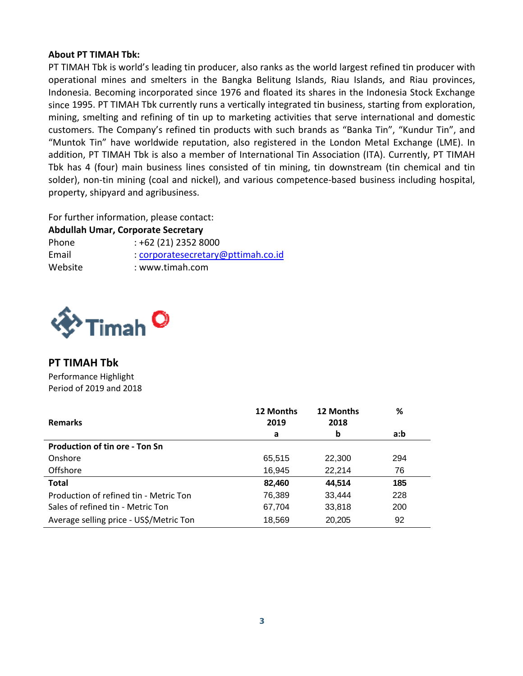#### **About PT TIMAH Tbk:**

PT TIMAH Tbk is world's leading tin producer, also ranks as the world largest refined tin producer with operational mines and smelters in the Bangka Belitung Islands, Riau Islands, and Riau provinces, Indonesia. Becoming incorporated since 1976 and floated its shares in the Indonesia Stock Exchange since 1995. PT TIMAH Tbk currently runs a vertically integrated tin business, starting from exploration, mining, smelting and refining of tin up to marketing activities that serve international and domestic customers. The Company's refined tin products with such brands as "Banka Tin", "Kundur Tin", and "Muntok Tin" have worldwide reputation, also registered in the London Metal Exchange (LME). In addition, PT TIMAH Tbk is also a member of International Tin Association (ITA). Currently, PT TIMAH Tbk has 4 (four) main business lines consisted of tin mining, tin downstream (tin chemical and tin solder), non-tin mining (coal and nickel), and various competence-based business including hospital, property, shipyard and agribusiness.

For further information, please contact:

**Abdullah Umar, Corporate Secretary** Phone : +62 (21) 2352 8000 Email : corporatesecretary@pttimah.co.id Website : www.timah.com



## **PT TIMAH Tbk**

Performance Highlight Period of 2019 and 2018

| <b>Remarks</b>                          | 12 Months<br>2019 | 12 Months<br>2018 | %   |
|-----------------------------------------|-------------------|-------------------|-----|
|                                         | а                 | b                 | a:b |
| <b>Production of tin ore - Ton Sn</b>   |                   |                   |     |
| Onshore                                 | 65,515            | 22,300            | 294 |
| Offshore                                | 16,945            | 22,214            | 76  |
| <b>Total</b>                            | 82,460            | 44,514            | 185 |
| Production of refined tin - Metric Ton  | 76,389            | 33,444            | 228 |
| Sales of refined tin - Metric Ton       | 67,704            | 33,818            | 200 |
| Average selling price - US\$/Metric Ton | 18,569            | 20,205            | 92  |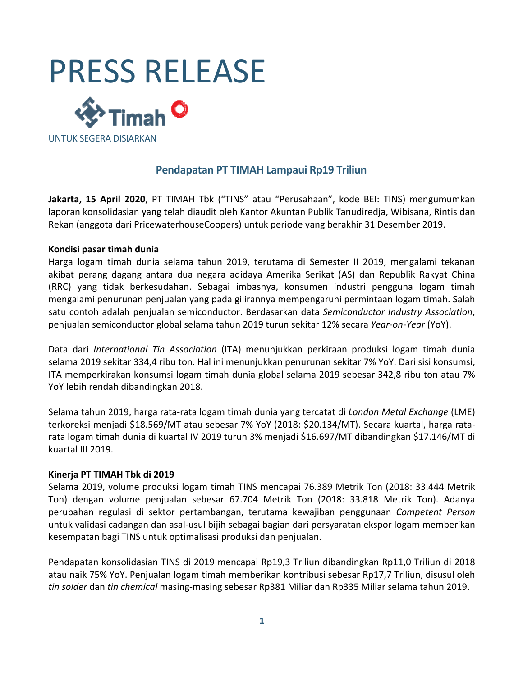

## **Pendapatan PT TIMAH Lampaui Rp19 Triliun**

**Jakarta, 15 April 2020**, PT TIMAH Tbk ("TINS" atau "Perusahaan", kode BEI: TINS) mengumumkan laporan konsolidasian yang telah diaudit oleh Kantor Akuntan Publik Tanudiredja, Wibisana, Rintis dan Rekan (anggota dari PricewaterhouseCoopers) untuk periode yang berakhir 31 Desember 2019.

#### **Kondisi pasar timah dunia**

Harga logam timah dunia selama tahun 2019, terutama di Semester II 2019, mengalami tekanan akibat perang dagang antara dua negara adidaya Amerika Serikat (AS) dan Republik Rakyat China (RRC) yang tidak berkesudahan. Sebagai imbasnya, konsumen industri pengguna logam timah mengalami penurunan penjualan yang pada gilirannya mempengaruhi permintaan logam timah. Salah satu contoh adalah penjualan semiconductor. Berdasarkan data *Semiconductor Industry Association*, penjualan semiconductor global selama tahun 2019 turun sekitar 12% secara *Year‐on‐Year* (YoY).

Data dari *International Tin Association* (ITA) menunjukkan perkiraan produksi logam timah dunia selama 2019 sekitar 334,4 ribu ton. Hal ini menunjukkan penurunan sekitar 7% YoY. Dari sisi konsumsi, ITA memperkirakan konsumsi logam timah dunia global selama 2019 sebesar 342,8 ribu ton atau 7% YoY lebih rendah dibandingkan 2018.

Selama tahun 2019, harga rata‐rata logam timah dunia yang tercatat di *London Metal Exchange* (LME) terkoreksi menjadi \$18.569/MT atau sebesar 7% YoY (2018: \$20.134/MT). Secara kuartal, harga rata‐ rata logam timah dunia di kuartal IV 2019 turun 3% menjadi \$16.697/MT dibandingkan \$17.146/MT di kuartal III 2019.

#### **Kinerja PT TIMAH Tbk di 2019**

Selama 2019, volume produksi logam timah TINS mencapai 76.389 Metrik Ton (2018: 33.444 Metrik Ton) dengan volume penjualan sebesar 67.704 Metrik Ton (2018: 33.818 Metrik Ton). Adanya perubahan regulasi di sektor pertambangan, terutama kewajiban penggunaan *Competent Person* untuk validasi cadangan dan asal‐usul bijih sebagai bagian dari persyaratan ekspor logam memberikan kesempatan bagi TINS untuk optimalisasi produksi dan penjualan.

Pendapatan konsolidasian TINS di 2019 mencapai Rp19,3 Triliun dibandingkan Rp11,0 Triliun di 2018 atau naik 75% YoY. Penjualan logam timah memberikan kontribusi sebesar Rp17,7 Triliun, disusul oleh *tin solder* dan *tin chemical* masing‐masing sebesar Rp381 Miliar dan Rp335 Miliar selama tahun 2019.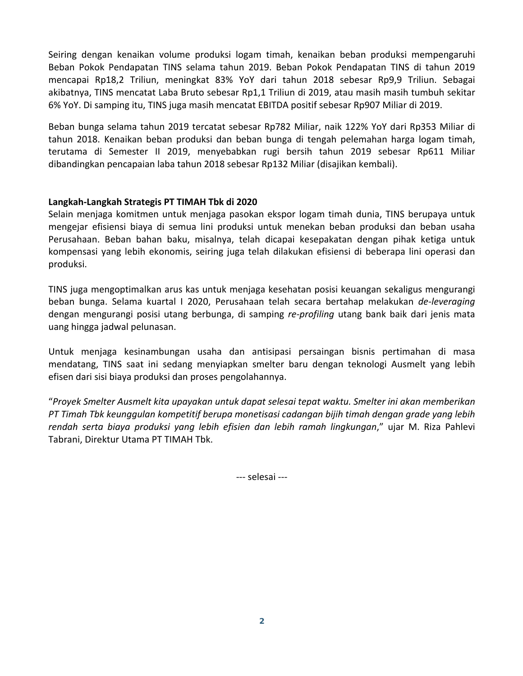Seiring dengan kenaikan volume produksi logam timah, kenaikan beban produksi mempengaruhi Beban Pokok Pendapatan TINS selama tahun 2019. Beban Pokok Pendapatan TINS di tahun 2019 mencapai Rp18,2 Triliun, meningkat 83% YoY dari tahun 2018 sebesar Rp9,9 Triliun. Sebagai akibatnya, TINS mencatat Laba Bruto sebesar Rp1,1 Triliun di 2019, atau masih masih tumbuh sekitar 6% YoY. Di samping itu, TINS juga masih mencatat EBITDA positif sebesar Rp907 Miliar di 2019.

Beban bunga selama tahun 2019 tercatat sebesar Rp782 Miliar, naik 122% YoY dari Rp353 Miliar di tahun 2018. Kenaikan beban produksi dan beban bunga di tengah pelemahan harga logam timah, terutama di Semester II 2019, menyebabkan rugi bersih tahun 2019 sebesar Rp611 Miliar dibandingkan pencapaian laba tahun 2018 sebesar Rp132 Miliar (disajikan kembali).

#### **Langkah‐Langkah Strategis PT TIMAH Tbk di 2020**

Selain menjaga komitmen untuk menjaga pasokan ekspor logam timah dunia, TINS berupaya untuk mengejar efisiensi biaya di semua lini produksi untuk menekan beban produksi dan beban usaha Perusahaan. Beban bahan baku, misalnya, telah dicapai kesepakatan dengan pihak ketiga untuk kompensasi yang lebih ekonomis, seiring juga telah dilakukan efisiensi di beberapa lini operasi dan produksi.

TINS juga mengoptimalkan arus kas untuk menjaga kesehatan posisi keuangan sekaligus mengurangi beban bunga. Selama kuartal I 2020, Perusahaan telah secara bertahap melakukan *de‐leveraging* dengan mengurangi posisi utang berbunga, di samping *re‐profiling* utang bank baik dari jenis mata uang hingga jadwal pelunasan.

Untuk menjaga kesinambungan usaha dan antisipasi persaingan bisnis pertimahan di masa mendatang, TINS saat ini sedang menyiapkan smelter baru dengan teknologi Ausmelt yang lebih efisen dari sisi biaya produksi dan proses pengolahannya.

"*Proyek Smelter Ausmelt kita upayakan untuk dapat selesai tepat waktu. Smelter ini akan memberikan PT Timah Tbk keunggulan kompetitif berupa monetisasi cadangan bijih timah dengan grade yang lebih rendah serta biaya produksi yang lebih efisien dan lebih ramah lingkungan*," ujar M. Riza Pahlevi Tabrani, Direktur Utama PT TIMAH Tbk.

‐‐‐ selesai ‐‐‐